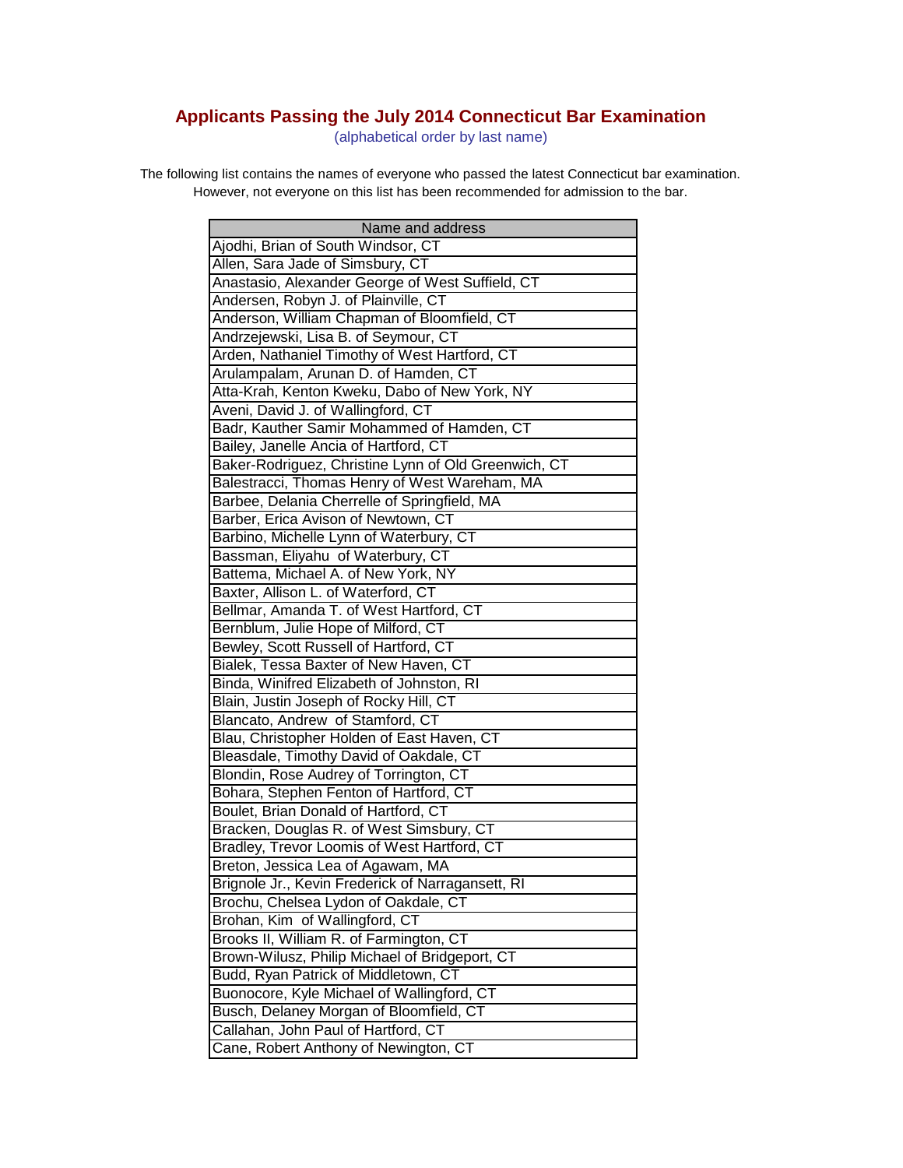## **Applicants Passing the July 2014 Connecticut Bar Examination**

(alphabetical order by last name)

The following list contains the names of everyone who passed the latest Connecticut bar examination. However, not everyone on this list has been recommended for admission to the bar.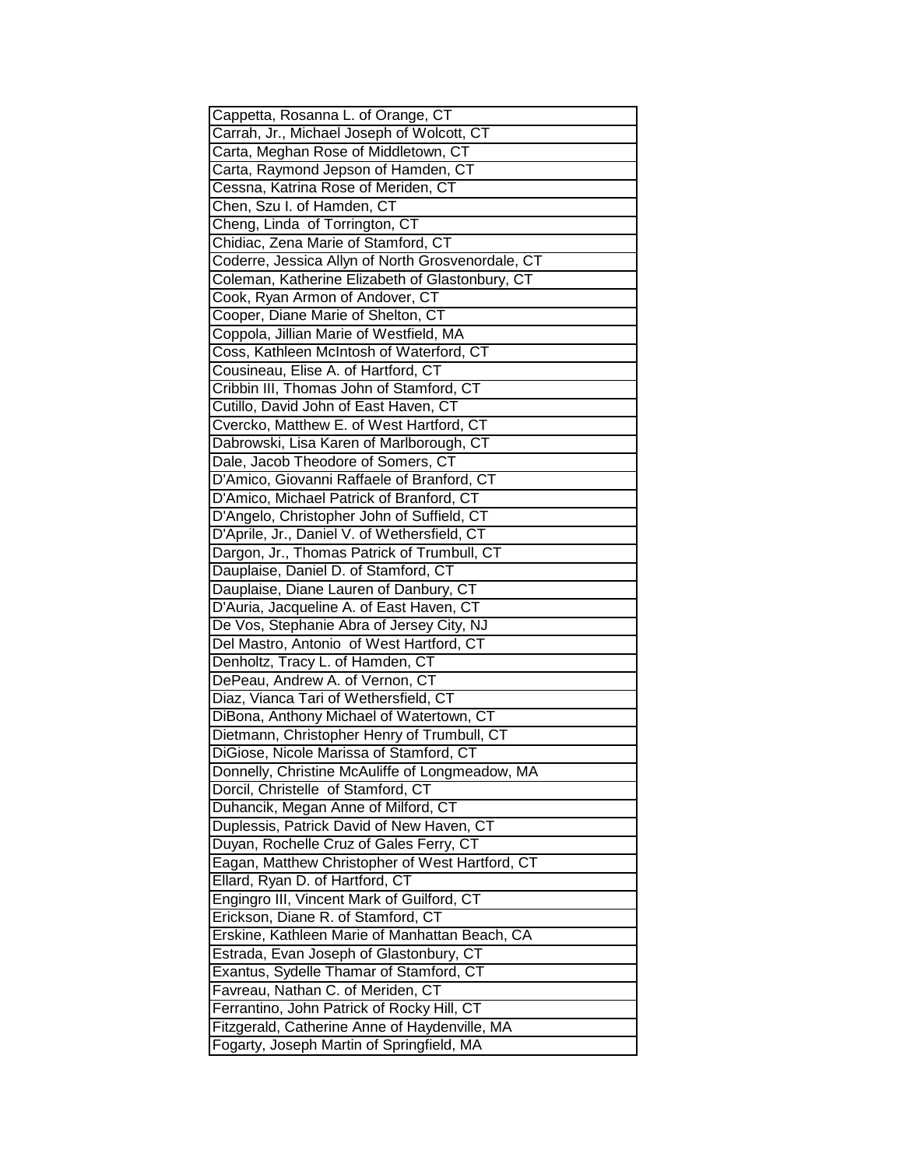| Cappetta, Rosanna L. of Orange, CT                |
|---------------------------------------------------|
| Carrah, Jr., Michael Joseph of Wolcott, CT        |
| Carta, Meghan Rose of Middletown, CT              |
| Carta, Raymond Jepson of Hamden, CT               |
| Cessna, Katrina Rose of Meriden, CT               |
| Chen, Szu I. of Hamden, CT                        |
| Cheng, Linda of Torrington, CT                    |
| Chidiac, Zena Marie of Stamford, CT               |
| Coderre, Jessica Allyn of North Grosvenordale, CT |
| Coleman, Katherine Elizabeth of Glastonbury, CT   |
| Cook, Ryan Armon of Andover, CT                   |
| Cooper, Diane Marie of Shelton, CT                |
| Coppola, Jillian Marie of Westfield, MA           |
| Coss, Kathleen McIntosh of Waterford, CT          |
| Cousineau, Elise A. of Hartford, CT               |
| Cribbin III, Thomas John of Stamford, CT          |
| Cutillo, David John of East Haven, CT             |
|                                                   |
| Cvercko, Matthew E. of West Hartford, CT          |
| Dabrowski, Lisa Karen of Marlborough, CT          |
| Dale, Jacob Theodore of Somers, CT                |
| D'Amico, Giovanni Raffaele of Branford, CT        |
| D'Amico, Michael Patrick of Branford, CT          |
| D'Angelo, Christopher John of Suffield, CT        |
| D'Aprile, Jr., Daniel V. of Wethersfield, CT      |
| Dargon, Jr., Thomas Patrick of Trumbull, CT       |
| Dauplaise, Daniel D. of Stamford, CT              |
| Dauplaise, Diane Lauren of Danbury, CT            |
| D'Auria, Jacqueline A. of East Haven, CT          |
| De Vos, Stephanie Abra of Jersey City, NJ         |
| Del Mastro, Antonio of West Hartford, CT          |
| Denholtz, Tracy L. of Hamden, CT                  |
| DePeau, Andrew A. of Vernon, CT                   |
| Diaz, Vianca Tari of Wethersfield, CT             |
| DiBona, Anthony Michael of Watertown, CT          |
| Dietmann, Christopher Henry of Trumbull, CT       |
| DiGiose, Nicole Marissa of Stamford, CT           |
| Donnelly, Christine McAuliffe of Longmeadow, MA   |
| Dorcil, Christelle of Stamford, CT                |
| Duhancik, Megan Anne of Milford, CT               |
| Duplessis, Patrick David of New Haven, CT         |
| Duyan, Rochelle Cruz of Gales Ferry, CT           |
| Eagan, Matthew Christopher of West Hartford, CT   |
| Ellard, Ryan D. of Hartford, CT                   |
| Engingro III, Vincent Mark of Guilford, CT        |
| Erickson, Diane R. of Stamford, CT                |
| Erskine, Kathleen Marie of Manhattan Beach, CA    |
| Estrada, Evan Joseph of Glastonbury, CT           |
| Exantus, Sydelle Thamar of Stamford, CT           |
| Favreau, Nathan C. of Meriden, CT                 |
| Ferrantino, John Patrick of Rocky Hill, CT        |
| Fitzgerald, Catherine Anne of Haydenville, MA     |
| Fogarty, Joseph Martin of Springfield, MA         |
|                                                   |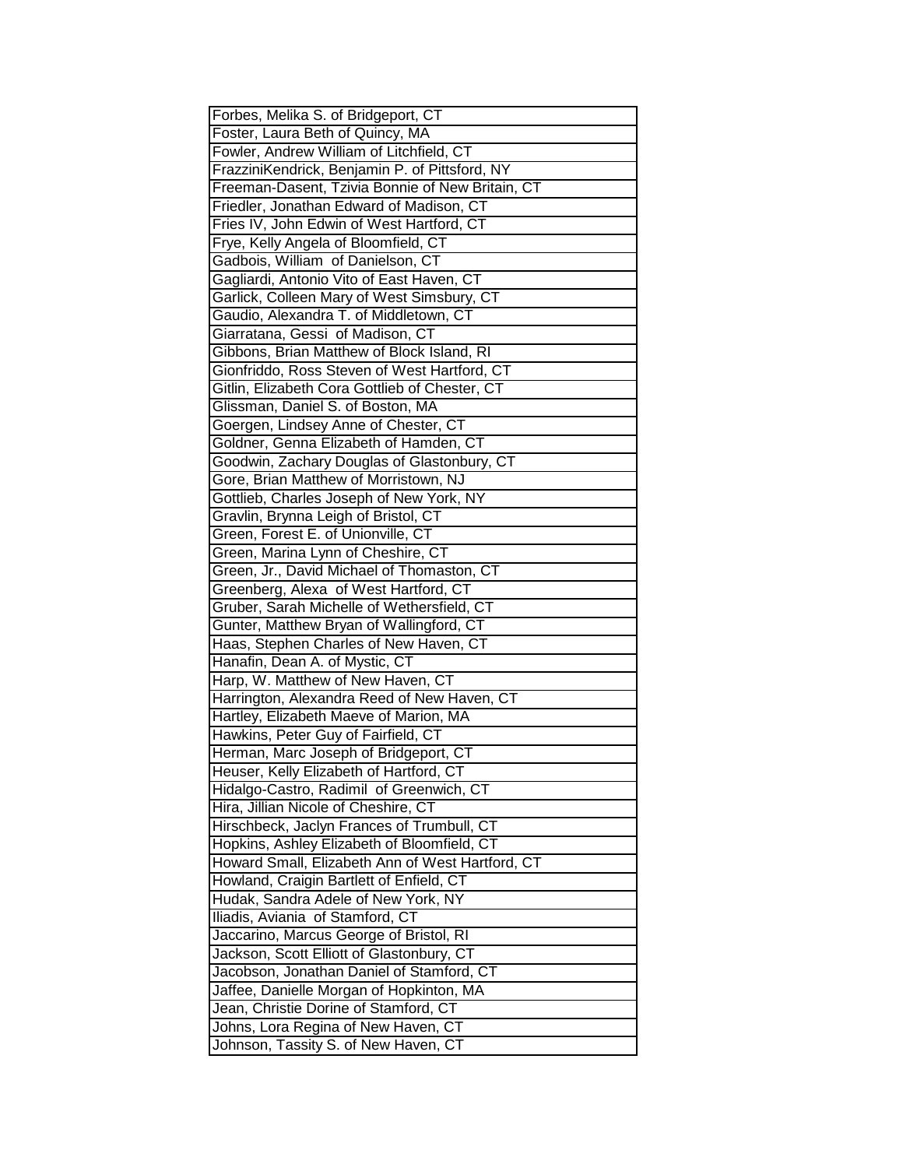| Forbes, Melika S. of Bridgeport, CT                                                                                                                                                                                                                                                                                                                                                                                                                                                                                                                                           |
|-------------------------------------------------------------------------------------------------------------------------------------------------------------------------------------------------------------------------------------------------------------------------------------------------------------------------------------------------------------------------------------------------------------------------------------------------------------------------------------------------------------------------------------------------------------------------------|
| Foster, Laura Beth of Quincy, MA                                                                                                                                                                                                                                                                                                                                                                                                                                                                                                                                              |
| Fowler, Andrew William of Litchfield, CT                                                                                                                                                                                                                                                                                                                                                                                                                                                                                                                                      |
| FrazziniKendrick, Benjamin P. of Pittsford, NY                                                                                                                                                                                                                                                                                                                                                                                                                                                                                                                                |
| Freeman-Dasent, Tzivia Bonnie of New Britain, CT                                                                                                                                                                                                                                                                                                                                                                                                                                                                                                                              |
| Friedler, Jonathan Edward of Madison, CT                                                                                                                                                                                                                                                                                                                                                                                                                                                                                                                                      |
| Fries IV, John Edwin of West Hartford, CT                                                                                                                                                                                                                                                                                                                                                                                                                                                                                                                                     |
| Frye, Kelly Angela of Bloomfield, CT                                                                                                                                                                                                                                                                                                                                                                                                                                                                                                                                          |
| Gadbois, William of Danielson, CT                                                                                                                                                                                                                                                                                                                                                                                                                                                                                                                                             |
| Gagliardi, Antonio Vito of East Haven, CT                                                                                                                                                                                                                                                                                                                                                                                                                                                                                                                                     |
| Garlick, Colleen Mary of West Simsbury, CT                                                                                                                                                                                                                                                                                                                                                                                                                                                                                                                                    |
| Gaudio, Alexandra T. of Middletown, CT                                                                                                                                                                                                                                                                                                                                                                                                                                                                                                                                        |
| Giarratana, Gessi of Madison, CT                                                                                                                                                                                                                                                                                                                                                                                                                                                                                                                                              |
| Gibbons, Brian Matthew of Block Island, RI                                                                                                                                                                                                                                                                                                                                                                                                                                                                                                                                    |
| Gionfriddo, Ross Steven of West Hartford, CT                                                                                                                                                                                                                                                                                                                                                                                                                                                                                                                                  |
| Gitlin, Elizabeth Cora Gottlieb of Chester, CT                                                                                                                                                                                                                                                                                                                                                                                                                                                                                                                                |
| Glissman, Daniel S. of Boston, MA                                                                                                                                                                                                                                                                                                                                                                                                                                                                                                                                             |
| Goergen, Lindsey Anne of Chester, CT                                                                                                                                                                                                                                                                                                                                                                                                                                                                                                                                          |
| Goldner, Genna Elizabeth of Hamden, CT                                                                                                                                                                                                                                                                                                                                                                                                                                                                                                                                        |
| Goodwin, Zachary Douglas of Glastonbury, CT                                                                                                                                                                                                                                                                                                                                                                                                                                                                                                                                   |
| Gore, Brian Matthew of Morristown, NJ                                                                                                                                                                                                                                                                                                                                                                                                                                                                                                                                         |
| Gottlieb, Charles Joseph of New York, NY                                                                                                                                                                                                                                                                                                                                                                                                                                                                                                                                      |
| Gravlin, Brynna Leigh of Bristol, CT                                                                                                                                                                                                                                                                                                                                                                                                                                                                                                                                          |
| Green, Forest E. of Unionville, CT                                                                                                                                                                                                                                                                                                                                                                                                                                                                                                                                            |
| Green, Marina Lynn of Cheshire, CT                                                                                                                                                                                                                                                                                                                                                                                                                                                                                                                                            |
| Green, Jr., David Michael of Thomaston, CT                                                                                                                                                                                                                                                                                                                                                                                                                                                                                                                                    |
| Greenberg, Alexa of West Hartford, CT                                                                                                                                                                                                                                                                                                                                                                                                                                                                                                                                         |
| Gruber, Sarah Michelle of Wethersfield, CT                                                                                                                                                                                                                                                                                                                                                                                                                                                                                                                                    |
| Gunter, Matthew Bryan of Wallingford, CT                                                                                                                                                                                                                                                                                                                                                                                                                                                                                                                                      |
| Haas, Stephen Charles of New Haven, CT                                                                                                                                                                                                                                                                                                                                                                                                                                                                                                                                        |
| Hanafin, Dean A. of Mystic, CT                                                                                                                                                                                                                                                                                                                                                                                                                                                                                                                                                |
|                                                                                                                                                                                                                                                                                                                                                                                                                                                                                                                                                                               |
|                                                                                                                                                                                                                                                                                                                                                                                                                                                                                                                                                                               |
|                                                                                                                                                                                                                                                                                                                                                                                                                                                                                                                                                                               |
|                                                                                                                                                                                                                                                                                                                                                                                                                                                                                                                                                                               |
|                                                                                                                                                                                                                                                                                                                                                                                                                                                                                                                                                                               |
|                                                                                                                                                                                                                                                                                                                                                                                                                                                                                                                                                                               |
|                                                                                                                                                                                                                                                                                                                                                                                                                                                                                                                                                                               |
|                                                                                                                                                                                                                                                                                                                                                                                                                                                                                                                                                                               |
|                                                                                                                                                                                                                                                                                                                                                                                                                                                                                                                                                                               |
|                                                                                                                                                                                                                                                                                                                                                                                                                                                                                                                                                                               |
|                                                                                                                                                                                                                                                                                                                                                                                                                                                                                                                                                                               |
|                                                                                                                                                                                                                                                                                                                                                                                                                                                                                                                                                                               |
|                                                                                                                                                                                                                                                                                                                                                                                                                                                                                                                                                                               |
| Harp, W. Matthew of New Haven, CT<br>Harrington, Alexandra Reed of New Haven, CT<br>Hartley, Elizabeth Maeve of Marion, MA<br>Hawkins, Peter Guy of Fairfield, CT<br>Herman, Marc Joseph of Bridgeport, CT<br>Heuser, Kelly Elizabeth of Hartford, CT<br>Hidalgo-Castro, Radimil of Greenwich, CT<br>Hira, Jillian Nicole of Cheshire, CT<br>Hirschbeck, Jaclyn Frances of Trumbull, CT<br>Hopkins, Ashley Elizabeth of Bloomfield, CT<br>Howard Small, Elizabeth Ann of West Hartford, CT<br>Howland, Craigin Bartlett of Enfield, CT<br>Hudak, Sandra Adele of New York, NY |
| Iliadis, Aviania of Stamford, CT                                                                                                                                                                                                                                                                                                                                                                                                                                                                                                                                              |
| Jaccarino, Marcus George of Bristol, RI                                                                                                                                                                                                                                                                                                                                                                                                                                                                                                                                       |
| Jackson, Scott Elliott of Glastonbury, CT                                                                                                                                                                                                                                                                                                                                                                                                                                                                                                                                     |
| Jacobson, Jonathan Daniel of Stamford, CT                                                                                                                                                                                                                                                                                                                                                                                                                                                                                                                                     |
| Jaffee, Danielle Morgan of Hopkinton, MA                                                                                                                                                                                                                                                                                                                                                                                                                                                                                                                                      |
| Jean, Christie Dorine of Stamford, CT                                                                                                                                                                                                                                                                                                                                                                                                                                                                                                                                         |
| Johns, Lora Regina of New Haven, CT                                                                                                                                                                                                                                                                                                                                                                                                                                                                                                                                           |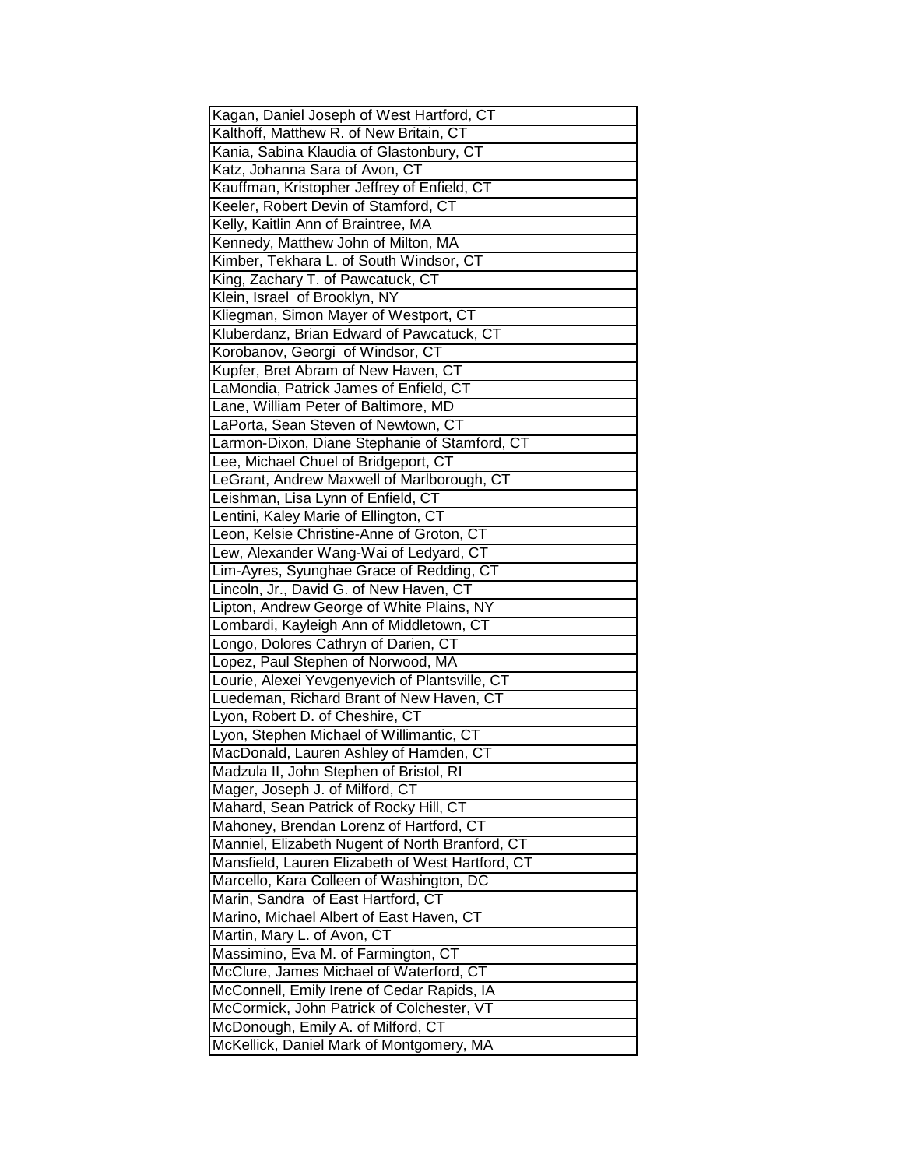| Kagan, Daniel Joseph of West Hartford, CT                                      |
|--------------------------------------------------------------------------------|
| Kalthoff, Matthew R. of New Britain, CT                                        |
| Kania, Sabina Klaudia of Glastonbury, CT                                       |
| Katz, Johanna Sara of Avon, CT                                                 |
| Kauffman, Kristopher Jeffrey of Enfield, CT                                    |
| Keeler, Robert Devin of Stamford, CT                                           |
| Kelly, Kaitlin Ann of Braintree, MA                                            |
| Kennedy, Matthew John of Milton, MA                                            |
| Kimber, Tekhara L. of South Windsor, CT                                        |
| King, Zachary T. of Pawcatuck, CT                                              |
| Klein, Israel of Brooklyn, NY                                                  |
| Kliegman, Simon Mayer of Westport, CT                                          |
| Kluberdanz, Brian Edward of Pawcatuck, CT                                      |
| Korobanov, Georgi of Windsor, CT                                               |
| Kupfer, Bret Abram of New Haven, CT                                            |
| LaMondia, Patrick James of Enfield, CT                                         |
| Lane, William Peter of Baltimore, MD                                           |
| LaPorta, Sean Steven of Newtown, CT                                            |
| Larmon-Dixon, Diane Stephanie of Stamford, CT                                  |
| Lee, Michael Chuel of Bridgeport, CT                                           |
|                                                                                |
| LeGrant, Andrew Maxwell of Marlborough, CT                                     |
| Leishman, Lisa Lynn of Enfield, CT                                             |
| Lentini, Kaley Marie of Ellington, CT                                          |
| Leon, Kelsie Christine-Anne of Groton, CT                                      |
| Lew, Alexander Wang-Wai of Ledyard, CT                                         |
| Lim-Ayres, Syunghae Grace of Redding, CT                                       |
|                                                                                |
| Lincoln, Jr., David G. of New Haven, CT                                        |
| Lipton, Andrew George of White Plains, NY                                      |
| Lombardi, Kayleigh Ann of Middletown, CT                                       |
| Longo, Dolores Cathryn of Darien, CT                                           |
| Lopez, Paul Stephen of Norwood, MA                                             |
| Lourie, Alexei Yevgenyevich of Plantsville, CT                                 |
| Luedeman, Richard Brant of New Haven, CT                                       |
| Lyon, Robert D. of Cheshire, CT                                                |
| Lyon, Stephen Michael of Willimantic, CT                                       |
| MacDonald, Lauren Ashley of Hamden, CT                                         |
| Madzula II, John Stephen of Bristol, RI                                        |
| Mager, Joseph J. of Milford, CT                                                |
|                                                                                |
| Mahard, Sean Patrick of Rocky Hill, CT                                         |
| Mahoney, Brendan Lorenz of Hartford, CT                                        |
| Manniel, Elizabeth Nugent of North Branford, CT                                |
| Mansfield, Lauren Elizabeth of West Hartford, CT                               |
| Marcello, Kara Colleen of Washington, DC                                       |
| Marin, Sandra of East Hartford, CT                                             |
| Marino, Michael Albert of East Haven, CT                                       |
| Martin, Mary L. of Avon, CT                                                    |
| Massimino, Eva M. of Farmington, CT                                            |
| McClure, James Michael of Waterford, CT                                        |
| McConnell, Emily Irene of Cedar Rapids, IA                                     |
| McCormick, John Patrick of Colchester, VT                                      |
| McDonough, Emily A. of Milford, CT<br>McKellick, Daniel Mark of Montgomery, MA |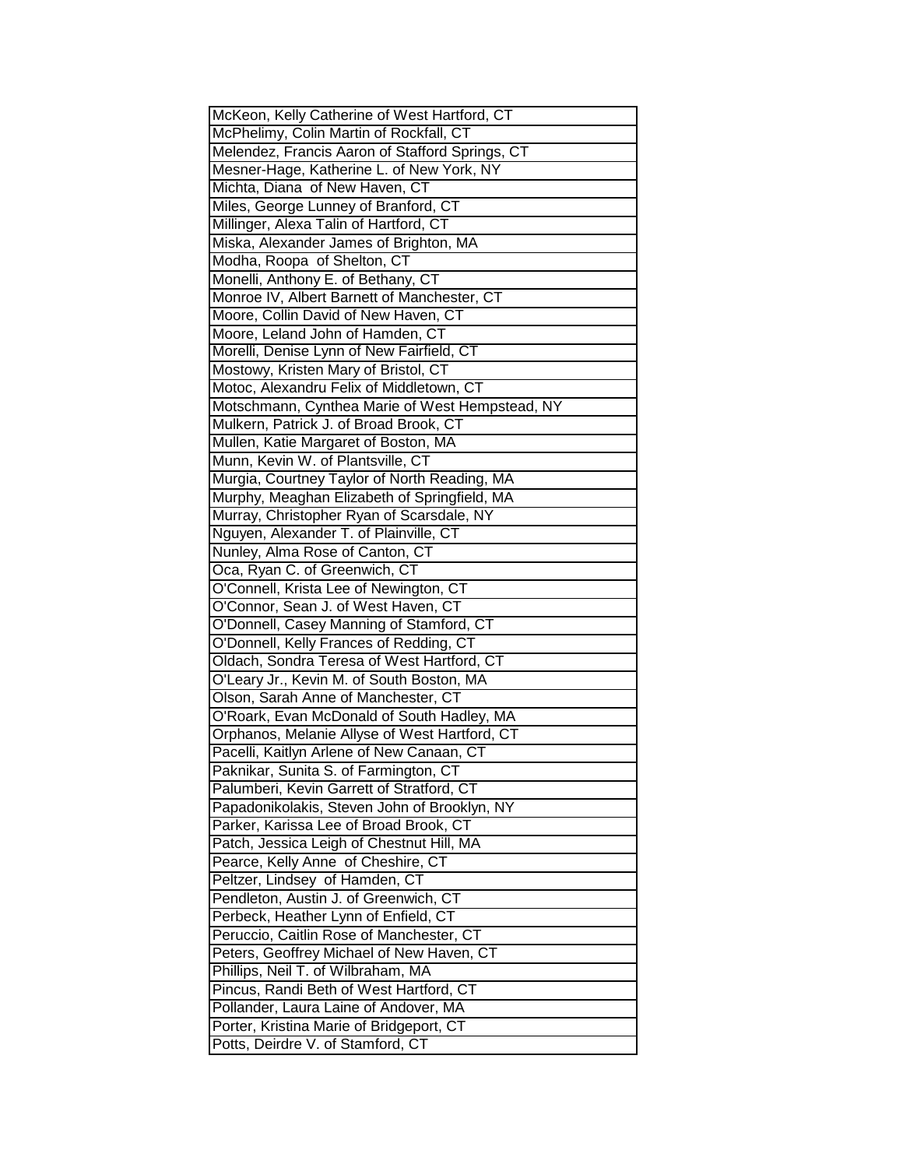| McKeon, Kelly Catherine of West Hartford, CT    |
|-------------------------------------------------|
| McPhelimy, Colin Martin of Rockfall, CT         |
| Melendez, Francis Aaron of Stafford Springs, CT |
| Mesner-Hage, Katherine L. of New York, NY       |
| Michta, Diana of New Haven, CT                  |
| Miles, George Lunney of Branford, CT            |
| Millinger, Alexa Talin of Hartford, CT          |
| Miska, Alexander James of Brighton, MA          |
| Modha, Roopa of Shelton, CT                     |
| Monelli, Anthony E. of Bethany, CT              |
| Monroe IV, Albert Barnett of Manchester, CT     |
| Moore, Collin David of New Haven, CT            |
| Moore, Leland John of Hamden, CT                |
| Morelli, Denise Lynn of New Fairfield, CT       |
| Mostowy, Kristen Mary of Bristol, CT            |
| Motoc, Alexandru Felix of Middletown, CT        |
| Motschmann, Cynthea Marie of West Hempstead, NY |
| Mulkern, Patrick J. of Broad Brook, CT          |
| Mullen, Katie Margaret of Boston, MA            |
| Munn, Kevin W. of Plantsville, CT               |
| Murgia, Courtney Taylor of North Reading, MA    |
| Murphy, Meaghan Elizabeth of Springfield, MA    |
| Murray, Christopher Ryan of Scarsdale, NY       |
| Nguyen, Alexander T. of Plainville, CT          |
| Nunley, Alma Rose of Canton, CT                 |
| Oca, Ryan C. of Greenwich, CT                   |
| O'Connell, Krista Lee of Newington, CT          |
| O'Connor, Sean J. of West Haven, CT             |
| O'Donnell, Casey Manning of Stamford, CT        |
| O'Donnell, Kelly Frances of Redding, CT         |
| Oldach, Sondra Teresa of West Hartford, CT      |
| O'Leary Jr., Kevin M. of South Boston, MA       |
| Olson, Sarah Anne of Manchester, CT             |
| O'Roark, Evan McDonald of South Hadley, MA      |
| Orphanos, Melanie Allyse of West Hartford, CT   |
| Pacelli, Kaitlyn Arlene of New Canaan, CT       |
| Paknikar, Sunita S. of Farmington, CT           |
| Palumberi, Kevin Garrett of Stratford, CT       |
| Papadonikolakis, Steven John of Brooklyn, NY    |
| Parker, Karissa Lee of Broad Brook, CT          |
| Patch, Jessica Leigh of Chestnut Hill, MA       |
| Pearce, Kelly Anne of Cheshire, CT              |
| Peltzer, Lindsey of Hamden, CT                  |
| Pendleton, Austin J. of Greenwich, CT           |
| Perbeck, Heather Lynn of Enfield, CT            |
| Peruccio, Caitlin Rose of Manchester, CT        |
| Peters, Geoffrey Michael of New Haven, CT       |
| Phillips, Neil T. of Wilbraham, MA              |
| Pincus, Randi Beth of West Hartford, CT         |
| Pollander, Laura Laine of Andover, MA           |
| Porter, Kristina Marie of Bridgeport, CT        |
|                                                 |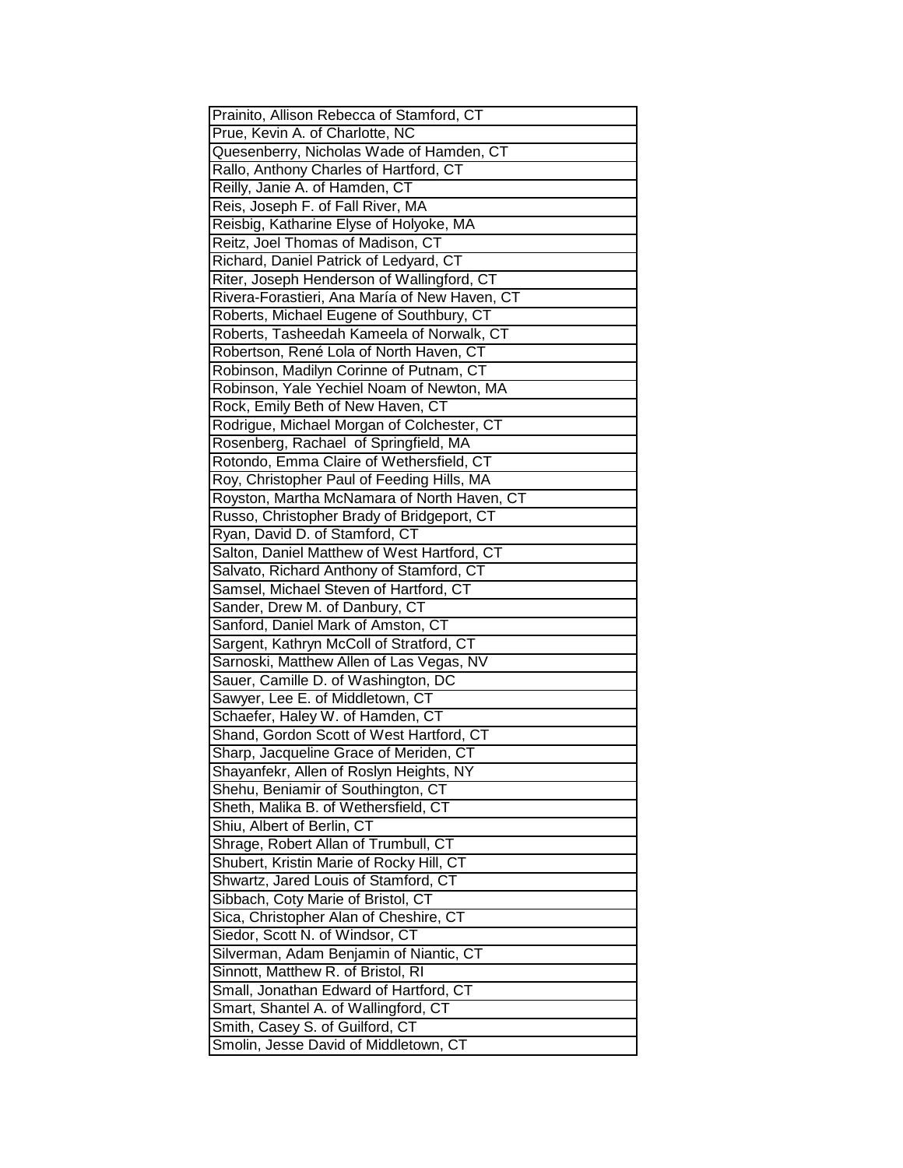| Prainito, Allison Rebecca of Stamford, CT     |
|-----------------------------------------------|
| Prue, Kevin A. of Charlotte, NC               |
| Quesenberry, Nicholas Wade of Hamden, CT      |
| Rallo, Anthony Charles of Hartford, CT        |
| Reilly, Janie A. of Hamden, CT                |
| Reis, Joseph F. of Fall River, MA             |
| Reisbig, Katharine Elyse of Holyoke, MA       |
| Reitz, Joel Thomas of Madison, CT             |
| Richard, Daniel Patrick of Ledyard, CT        |
| Riter, Joseph Henderson of Wallingford, CT    |
| Rivera-Forastieri, Ana María of New Haven, CT |
| Roberts, Michael Eugene of Southbury, CT      |
| Roberts, Tasheedah Kameela of Norwalk, CT     |
| Robertson, René Lola of North Haven, CT       |
| Robinson, Madilyn Corinne of Putnam, CT       |
| Robinson, Yale Yechiel Noam of Newton, MA     |
| Rock, Emily Beth of New Haven, CT             |
| Rodrigue, Michael Morgan of Colchester, CT    |
| Rosenberg, Rachael of Springfield, MA         |
| Rotondo, Emma Claire of Wethersfield, CT      |
| Roy, Christopher Paul of Feeding Hills, MA    |
| Royston, Martha McNamara of North Haven, CT   |
| Russo, Christopher Brady of Bridgeport, CT    |
| Ryan, David D. of Stamford, CT                |
| Salton, Daniel Matthew of West Hartford, CT   |
| Salvato, Richard Anthony of Stamford, CT      |
| Samsel, Michael Steven of Hartford, CT        |
| Sander, Drew M. of Danbury, CT                |
| Sanford, Daniel Mark of Amston, CT            |
| Sargent, Kathryn McColl of Stratford, CT      |
| Sarnoski, Matthew Allen of Las Vegas, NV      |
| Sauer, Camille D. of Washington, DC           |
| Sawyer, Lee E. of Middletown, CT              |
| Schaefer, Haley W. of Hamden, CT              |
| Shand, Gordon Scott of West Hartford, CT      |
| Sharp, Jacqueline Grace of Meriden, CT        |
| Shayanfekr, Allen of Roslyn Heights, NY       |
| Shehu, Beniamir of Southington, CT            |
| Sheth, Malika B. of Wethersfield, CT          |
| Shiu, Albert of Berlin, CT                    |
| Shrage, Robert Allan of Trumbull, CT          |
| Shubert, Kristin Marie of Rocky Hill, CT      |
| Shwartz, Jared Louis of Stamford, CT          |
| Sibbach, Coty Marie of Bristol, CT            |
| Sica, Christopher Alan of Cheshire, CT        |
| Siedor, Scott N. of Windsor, CT               |
| Silverman, Adam Benjamin of Niantic, CT       |
| Sinnott, Matthew R. of Bristol, RI            |
| Small, Jonathan Edward of Hartford, CT        |
| Smart, Shantel A. of Wallingford, CT          |
| Smith, Casey S. of Guilford, CT               |
| Smolin, Jesse David of Middletown, CT         |